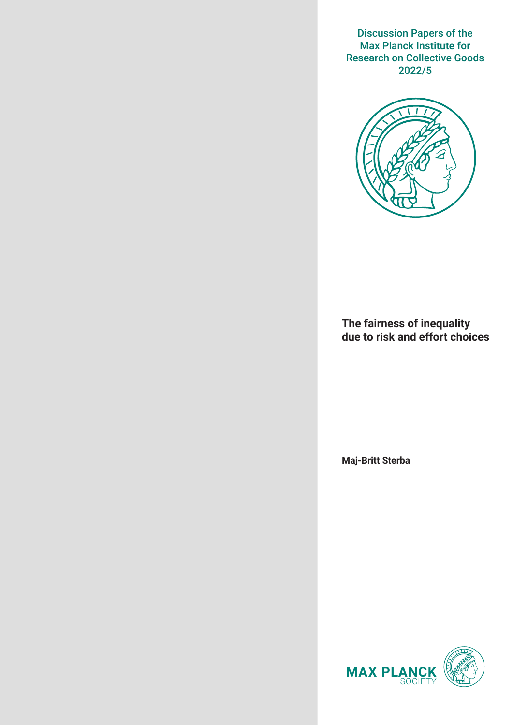Discussion Papers of the Max Planck Institute for Research on Collective Goods 2022/5



**The fairness of inequality due to risk and effort choices**

**Maj-Britt Sterba**

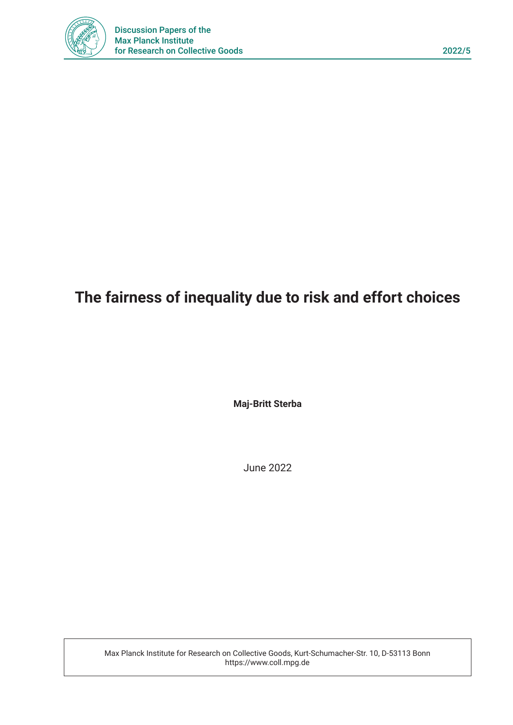

# **The fairness of inequality due to risk and effort choices**

**Maj-Britt Sterba**

June 2022

Max Planck Institute for Research on Collective Goods, Kurt-Schumacher-Str. 10, D-53113 Bonn https://www.coll.mpg.de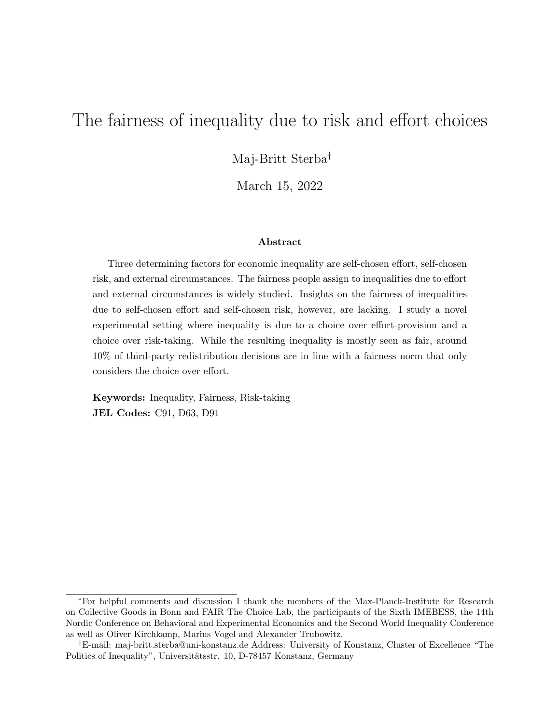# The fairness of inequality due to risk and effort choices

Maj-Britt Sterba†

March 15, 2022

#### Abstract

Three determining factors for economic inequality are self-chosen effort, self-chosen risk, and external circumstances. The fairness people assign to inequalities due to effort and external circumstances is widely studied. Insights on the fairness of inequalities due to self-chosen effort and self-chosen risk, however, are lacking. I study a novel experimental setting where inequality is due to a choice over effort-provision and a choice over risk-taking. While the resulting inequality is mostly seen as fair, around 10% of third-party redistribution decisions are in line with a fairness norm that only considers the choice over effort.

Keywords: Inequality, Fairness, Risk-taking JEL Codes: C91, D63, D91

<sup>∗</sup>For helpful comments and discussion I thank the members of the Max-Planck-Institute for Research on Collective Goods in Bonn and FAIR The Choice Lab, the participants of the Sixth IMEBESS, the 14th Nordic Conference on Behavioral and Experimental Economics and the Second World Inequality Conference as well as Oliver Kirchkamp, Marius Vogel and Alexander Trubowitz.

<sup>†</sup>E-mail: maj-britt.sterba@uni-konstanz.de Address: University of Konstanz, Cluster of Excellence "The Politics of Inequality", Universitätsstr. 10, D-78457 Konstanz, Germany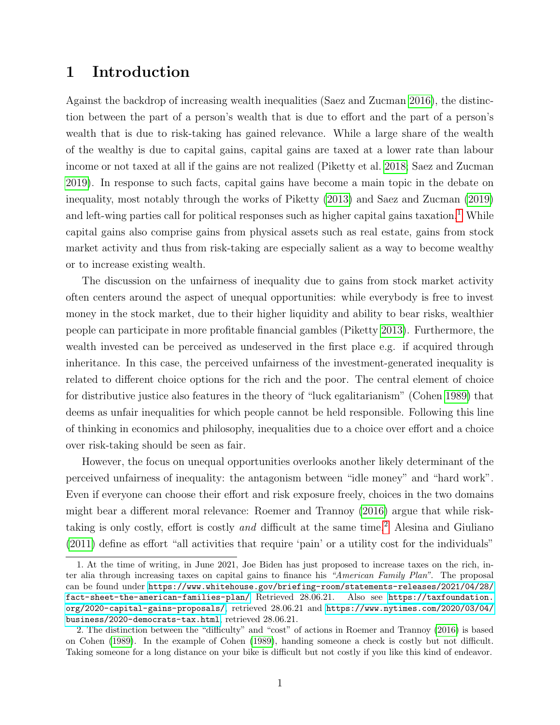### 1 Introduction

Against the backdrop of increasing wealth inequalities (Saez and Zucman [2016\)](#page-21-0), the distinction between the part of a person's wealth that is due to effort and the part of a person's wealth that is due to risk-taking has gained relevance. While a large share of the wealth of the wealthy is due to capital gains, capital gains are taxed at a lower rate than labour income or not taxed at all if the gains are not realized (Piketty et al. [2018;](#page-21-1) Saez and Zucman [2019\)](#page-21-2). In response to such facts, capital gains have become a main topic in the debate on inequality, most notably through the works of Piketty [\(2013\)](#page-20-0) and Saez and Zucman [\(2019\)](#page-21-2) and left-wing parties call for political responses such as higher capital gains taxation.<sup>[1](#page-3-0)</sup> While capital gains also comprise gains from physical assets such as real estate, gains from stock market activity and thus from risk-taking are especially salient as a way to become wealthy or to increase existing wealth.

The discussion on the unfairness of inequality due to gains from stock market activity often centers around the aspect of unequal opportunities: while everybody is free to invest money in the stock market, due to their higher liquidity and ability to bear risks, wealthier people can participate in more profitable financial gambles (Piketty [2013\)](#page-20-0). Furthermore, the wealth invested can be perceived as undeserved in the first place e.g. if acquired through inheritance. In this case, the perceived unfairness of the investment-generated inequality is related to different choice options for the rich and the poor. The central element of choice for distributive justice also features in the theory of "luck egalitarianism" (Cohen [1989\)](#page-20-1) that deems as unfair inequalities for which people cannot be held responsible. Following this line of thinking in economics and philosophy, inequalities due to a choice over effort and a choice over risk-taking should be seen as fair.

However, the focus on unequal opportunities overlooks another likely determinant of the perceived unfairness of inequality: the antagonism between "idle money" and "hard work". Even if everyone can choose their effort and risk exposure freely, choices in the two domains might bear a different moral relevance: Roemer and Trannoy [\(2016\)](#page-21-3) argue that while risktaking is only costly, effort is costly and difficult at the same time.[2](#page-3-1) Alesina and Giuliano [\(2011\)](#page-19-0) define as effort "all activities that require 'pain' or a utility cost for the individuals"

<span id="page-3-0"></span><sup>1.</sup> At the time of writing, in June 2021, Joe Biden has just proposed to increase taxes on the rich, inter alia through increasing taxes on capital gains to finance his "American Family Plan". The proposal can be found under [https://www.whitehouse.gov/briefing-room/statements-releases/2021/04/28/](https://www.whitehouse.gov/briefing-room/statements-releases/2021/04/28/fact-sheet-the-american-families-plan/) [fact-sheet-the-american-families-plan/](https://www.whitehouse.gov/briefing-room/statements-releases/2021/04/28/fact-sheet-the-american-families-plan/) Retrieved 28.06.21. Also see [https://taxfoundation.](https://taxfoundation.org/2020-capital-gains-proposals/) [org/2020-capital-gains-proposals/](https://taxfoundation.org/2020-capital-gains-proposals/), retrieved 28.06.21 and [https://www.nytimes.com/2020/03/04/](https://www.nytimes.com/2020/03/04/business/2020-democrats-tax.html) [business/2020-democrats-tax.html](https://www.nytimes.com/2020/03/04/business/2020-democrats-tax.html), retrieved 28.06.21.

<span id="page-3-1"></span><sup>2.</sup> The distinction between the "difficulty" and "cost" of actions in Roemer and Trannoy [\(2016\)](#page-21-3) is based on Cohen [\(1989\)](#page-20-1). In the example of Cohen [\(1989\)](#page-20-1), handing someone a check is costly but not difficult. Taking someone for a long distance on your bike is difficult but not costly if you like this kind of endeavor.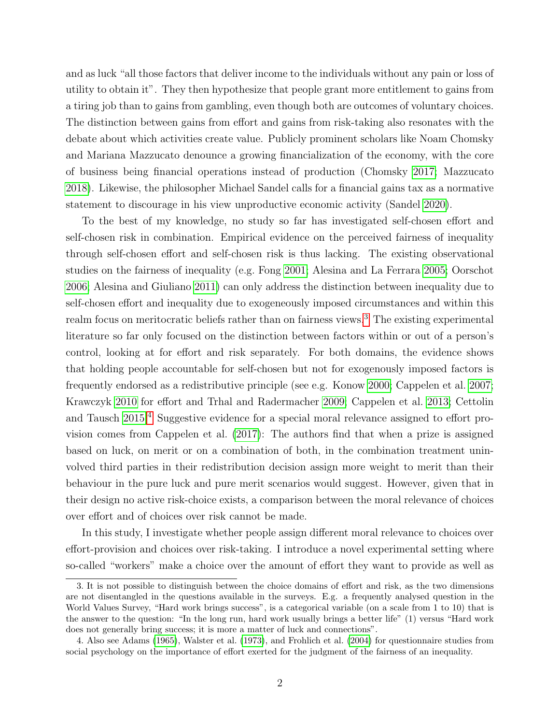and as luck "all those factors that deliver income to the individuals without any pain or loss of utility to obtain it". They then hypothesize that people grant more entitlement to gains from a tiring job than to gains from gambling, even though both are outcomes of voluntary choices. The distinction between gains from effort and gains from risk-taking also resonates with the debate about which activities create value. Publicly prominent scholars like Noam Chomsky and Mariana Mazzucato denounce a growing financialization of the economy, with the core of business being financial operations instead of production (Chomsky [2017;](#page-19-1) Mazzucato [2018\)](#page-20-2). Likewise, the philosopher Michael Sandel calls for a financial gains tax as a normative statement to discourage in his view unproductive economic activity (Sandel [2020\)](#page-21-4).

To the best of my knowledge, no study so far has investigated self-chosen effort and self-chosen risk in combination. Empirical evidence on the perceived fairness of inequality through self-chosen effort and self-chosen risk is thus lacking. The existing observational studies on the fairness of inequality (e.g. Fong [2001;](#page-20-3) Alesina and La Ferrara [2005;](#page-19-2) Oorschot [2006;](#page-20-4) Alesina and Giuliano [2011\)](#page-19-0) can only address the distinction between inequality due to self-chosen effort and inequality due to exogeneously imposed circumstances and within this realm focus on meritocratic beliefs rather than on fairness views.<sup>[3](#page-4-0)</sup> The existing experimental literature so far only focused on the distinction between factors within or out of a person's control, looking at for effort and risk separately. For both domains, the evidence shows that holding people accountable for self-chosen but not for exogenously imposed factors is frequently endorsed as a redistributive principle (see e.g. Konow [2000;](#page-20-5) Cappelen et al. [2007;](#page-19-3) Krawczyk [2010](#page-20-6) for effort and Trhal and Radermacher [2009;](#page-21-5) Cappelen et al. [2013;](#page-19-4) Cettolin and Tausch [2015.](#page-19-5)[4](#page-4-1) Suggestive evidence for a special moral relevance assigned to effort provision comes from Cappelen et al. [\(2017\)](#page-19-6): The authors find that when a prize is assigned based on luck, on merit or on a combination of both, in the combination treatment uninvolved third parties in their redistribution decision assign more weight to merit than their behaviour in the pure luck and pure merit scenarios would suggest. However, given that in their design no active risk-choice exists, a comparison between the moral relevance of choices over effort and of choices over risk cannot be made.

In this study, I investigate whether people assign different moral relevance to choices over effort-provision and choices over risk-taking. I introduce a novel experimental setting where so-called "workers" make a choice over the amount of effort they want to provide as well as

<span id="page-4-0"></span><sup>3.</sup> It is not possible to distinguish between the choice domains of effort and risk, as the two dimensions are not disentangled in the questions available in the surveys. E.g. a frequently analysed question in the World Values Survey, "Hard work brings success", is a categorical variable (on a scale from 1 to 10) that is the answer to the question: "In the long run, hard work usually brings a better life" (1) versus "Hard work does not generally bring success; it is more a matter of luck and connections".

<span id="page-4-1"></span><sup>4.</sup> Also see Adams [\(1965\)](#page-19-7), Walster et al. [\(1973\)](#page-21-6), and Frohlich et al. [\(2004\)](#page-20-7) for questionnaire studies from social psychology on the importance of effort exerted for the judgment of the fairness of an inequality.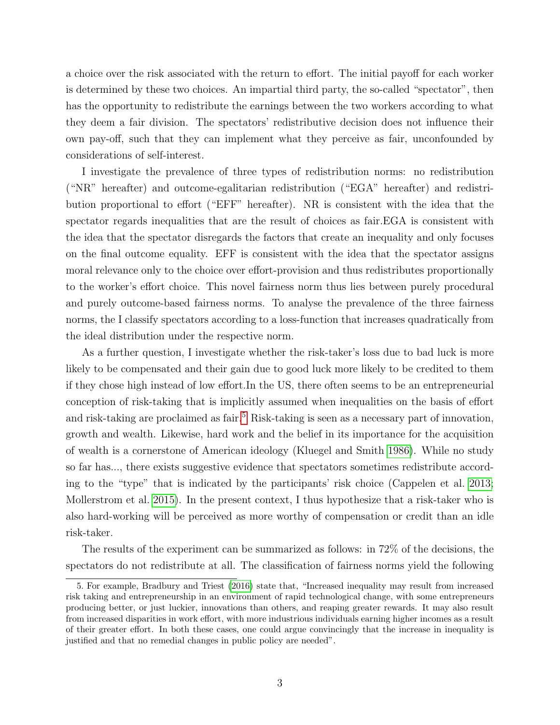a choice over the risk associated with the return to effort. The initial payoff for each worker is determined by these two choices. An impartial third party, the so-called "spectator", then has the opportunity to redistribute the earnings between the two workers according to what they deem a fair division. The spectators' redistributive decision does not influence their own pay-off, such that they can implement what they perceive as fair, unconfounded by considerations of self-interest.

I investigate the prevalence of three types of redistribution norms: no redistribution ("NR" hereafter) and outcome-egalitarian redistribution ("EGA" hereafter) and redistribution proportional to effort ("EFF" hereafter). NR is consistent with the idea that the spectator regards inequalities that are the result of choices as fair.EGA is consistent with the idea that the spectator disregards the factors that create an inequality and only focuses on the final outcome equality. EFF is consistent with the idea that the spectator assigns moral relevance only to the choice over effort-provision and thus redistributes proportionally to the worker's effort choice. This novel fairness norm thus lies between purely procedural and purely outcome-based fairness norms. To analyse the prevalence of the three fairness norms, the I classify spectators according to a loss-function that increases quadratically from the ideal distribution under the respective norm.

As a further question, I investigate whether the risk-taker's loss due to bad luck is more likely to be compensated and their gain due to good luck more likely to be credited to them if they chose high instead of low effort.In the US, there often seems to be an entrepreneurial conception of risk-taking that is implicitly assumed when inequalities on the basis of effort and risk-taking are proclaimed as fair.<sup>[5](#page-5-0)</sup> Risk-taking is seen as a necessary part of innovation, growth and wealth. Likewise, hard work and the belief in its importance for the acquisition of wealth is a cornerstone of American ideology (Kluegel and Smith [1986\)](#page-20-8). While no study so far has..., there exists suggestive evidence that spectators sometimes redistribute according to the "type" that is indicated by the participants' risk choice (Cappelen et al. [2013;](#page-19-4) Mollerstrom et al. [2015\)](#page-20-9). In the present context, I thus hypothesize that a risk-taker who is also hard-working will be perceived as more worthy of compensation or credit than an idle risk-taker.

The results of the experiment can be summarized as follows: in 72% of the decisions, the spectators do not redistribute at all. The classification of fairness norms yield the following

<span id="page-5-0"></span><sup>5.</sup> For example, Bradbury and Triest [\(2016\)](#page-19-8) state that, "Increased inequality may result from increased risk taking and entrepreneurship in an environment of rapid technological change, with some entrepreneurs producing better, or just luckier, innovations than others, and reaping greater rewards. It may also result from increased disparities in work effort, with more industrious individuals earning higher incomes as a result of their greater effort. In both these cases, one could argue convincingly that the increase in inequality is justified and that no remedial changes in public policy are needed".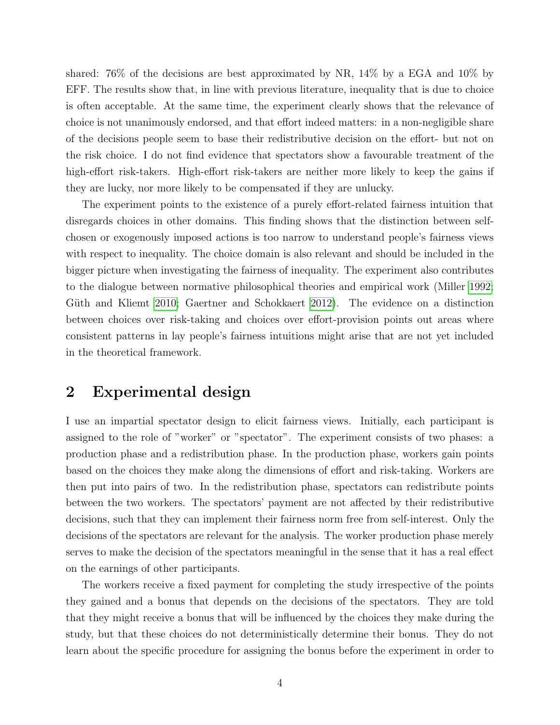shared: 76% of the decisions are best approximated by NR, 14% by a EGA and 10% by EFF. The results show that, in line with previous literature, inequality that is due to choice is often acceptable. At the same time, the experiment clearly shows that the relevance of choice is not unanimously endorsed, and that effort indeed matters: in a non-negligible share of the decisions people seem to base their redistributive decision on the effort- but not on the risk choice. I do not find evidence that spectators show a favourable treatment of the high-effort risk-takers. High-effort risk-takers are neither more likely to keep the gains if they are lucky, nor more likely to be compensated if they are unlucky.

The experiment points to the existence of a purely effort-related fairness intuition that disregards choices in other domains. This finding shows that the distinction between selfchosen or exogenously imposed actions is too narrow to understand people's fairness views with respect to inequality. The choice domain is also relevant and should be included in the bigger picture when investigating the fairness of inequality. The experiment also contributes to the dialogue between normative philosophical theories and empirical work (Miller [1992;](#page-20-10) Güth and Kliemt [2010;](#page-20-11) Gaertner and Schokkaert [2012\)](#page-20-12). The evidence on a distinction between choices over risk-taking and choices over effort-provision points out areas where consistent patterns in lay people's fairness intuitions might arise that are not yet included in the theoretical framework.

### 2 Experimental design

I use an impartial spectator design to elicit fairness views. Initially, each participant is assigned to the role of "worker" or "spectator". The experiment consists of two phases: a production phase and a redistribution phase. In the production phase, workers gain points based on the choices they make along the dimensions of effort and risk-taking. Workers are then put into pairs of two. In the redistribution phase, spectators can redistribute points between the two workers. The spectators' payment are not affected by their redistributive decisions, such that they can implement their fairness norm free from self-interest. Only the decisions of the spectators are relevant for the analysis. The worker production phase merely serves to make the decision of the spectators meaningful in the sense that it has a real effect on the earnings of other participants.

The workers receive a fixed payment for completing the study irrespective of the points they gained and a bonus that depends on the decisions of the spectators. They are told that they might receive a bonus that will be influenced by the choices they make during the study, but that these choices do not deterministically determine their bonus. They do not learn about the specific procedure for assigning the bonus before the experiment in order to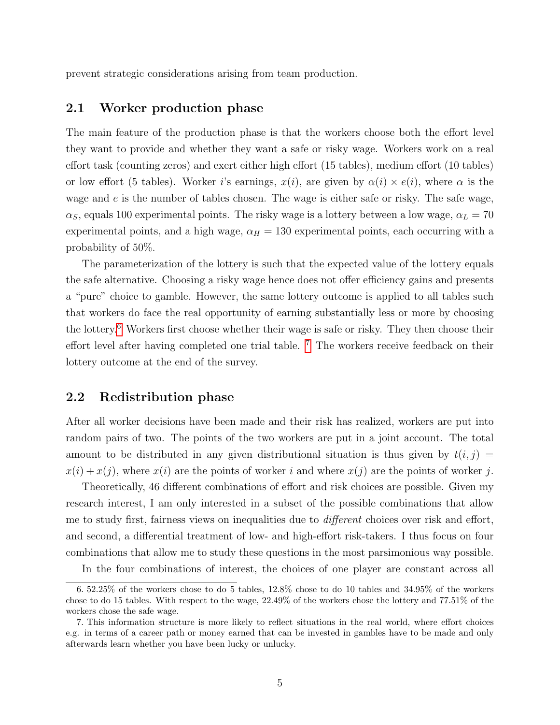prevent strategic considerations arising from team production.

#### 2.1 Worker production phase

The main feature of the production phase is that the workers choose both the effort level they want to provide and whether they want a safe or risky wage. Workers work on a real effort task (counting zeros) and exert either high effort (15 tables), medium effort (10 tables) or low effort (5 tables). Worker i's earnings,  $x(i)$ , are given by  $\alpha(i) \times e(i)$ , where  $\alpha$  is the wage and  $e$  is the number of tables chosen. The wage is either safe or risky. The safe wage,  $\alpha_S$ , equals 100 experimental points. The risky wage is a lottery between a low wage,  $\alpha_L = 70$ experimental points, and a high wage,  $\alpha_H = 130$  experimental points, each occurring with a probability of 50%.

The parameterization of the lottery is such that the expected value of the lottery equals the safe alternative. Choosing a risky wage hence does not offer efficiency gains and presents a "pure" choice to gamble. However, the same lottery outcome is applied to all tables such that workers do face the real opportunity of earning substantially less or more by choosing the lottery.[6](#page-7-0) Workers first choose whether their wage is safe or risky. They then choose their effort level after having completed one trial table. <sup>[7](#page-7-1)</sup> The workers receive feedback on their lottery outcome at the end of the survey.

#### 2.2 Redistribution phase

After all worker decisions have been made and their risk has realized, workers are put into random pairs of two. The points of the two workers are put in a joint account. The total amount to be distributed in any given distributional situation is thus given by  $t(i, j)$  =  $x(i) + x(j)$ , where  $x(i)$  are the points of worker i and where  $x(j)$  are the points of worker j.

Theoretically, 46 different combinations of effort and risk choices are possible. Given my research interest, I am only interested in a subset of the possible combinations that allow me to study first, fairness views on inequalities due to *different* choices over risk and effort, and second, a differential treatment of low- and high-effort risk-takers. I thus focus on four combinations that allow me to study these questions in the most parsimonious way possible.

<span id="page-7-0"></span>In the four combinations of interest, the choices of one player are constant across all

<sup>6. 52.25%</sup> of the workers chose to do 5 tables, 12.8% chose to do 10 tables and 34.95% of the workers chose to do 15 tables. With respect to the wage, 22.49% of the workers chose the lottery and 77.51% of the workers chose the safe wage.

<span id="page-7-1"></span><sup>7.</sup> This information structure is more likely to reflect situations in the real world, where effort choices e.g. in terms of a career path or money earned that can be invested in gambles have to be made and only afterwards learn whether you have been lucky or unlucky.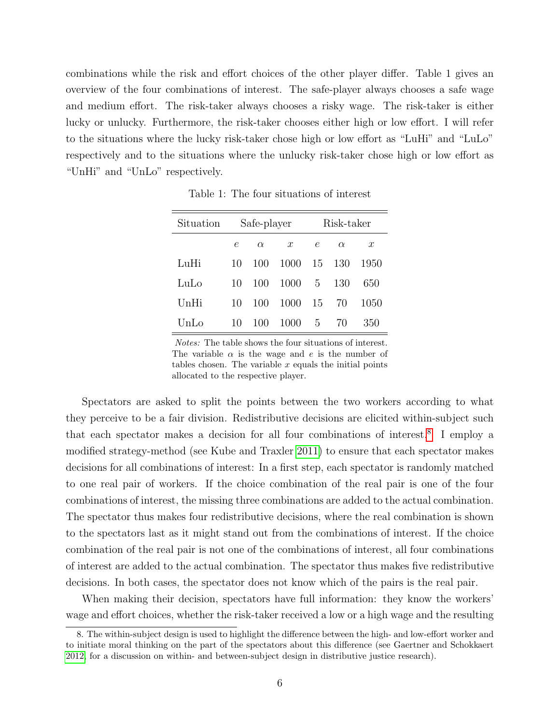combinations while the risk and effort choices of the other player differ. Table 1 gives an overview of the four combinations of interest. The safe-player always chooses a safe wage and medium effort. The risk-taker always chooses a risky wage. The risk-taker is either lucky or unlucky. Furthermore, the risk-taker chooses either high or low effort. I will refer to the situations where the lucky risk-taker chose high or low effort as "LuHi" and "LuLo" respectively and to the situations where the unlucky risk-taker chose high or low effort as "UnHi" and "UnLo" respectively.

| Situation |    | Safe-player |                  |            | Risk-taker |                  |
|-----------|----|-------------|------------------|------------|------------|------------------|
|           | e  | $\alpha$    | $\boldsymbol{x}$ | $\epsilon$ | $\alpha$   | $\boldsymbol{x}$ |
| LuHi      | 10 | 100         | 1000             | 15         | 130        | 1950             |
| LuLo      | 10 | 100         | 1000             | 5          | 130        | 650              |
| UnHi      | 10 | 100         | 1000             | 15         | 70         | 1050             |
| UnLo      | 10 | 100         | 1000             | 5          | 70         | 350              |

Table 1: The four situations of interest

Notes: The table shows the four situations of interest. The variable  $\alpha$  is the wage and e is the number of tables chosen. The variable  $x$  equals the initial points allocated to the respective player.

Spectators are asked to split the points between the two workers according to what they perceive to be a fair division. Redistributive decisions are elicited within-subject such that each spectator makes a decision for all four combinations of interest.<sup>[8](#page-8-0)</sup> I employ a modified strategy-method (see Kube and Traxler [2011\)](#page-20-13) to ensure that each spectator makes decisions for all combinations of interest: In a first step, each spectator is randomly matched to one real pair of workers. If the choice combination of the real pair is one of the four combinations of interest, the missing three combinations are added to the actual combination. The spectator thus makes four redistributive decisions, where the real combination is shown to the spectators last as it might stand out from the combinations of interest. If the choice combination of the real pair is not one of the combinations of interest, all four combinations of interest are added to the actual combination. The spectator thus makes five redistributive decisions. In both cases, the spectator does not know which of the pairs is the real pair.

When making their decision, spectators have full information: they know the workers' wage and effort choices, whether the risk-taker received a low or a high wage and the resulting

<span id="page-8-0"></span><sup>8.</sup> The within-subject design is used to highlight the difference between the high- and low-effort worker and to initiate moral thinking on the part of the spectators about this difference (see Gaertner and Schokkaert [2012,](#page-20-12) for a discussion on within- and between-subject design in distributive justice research).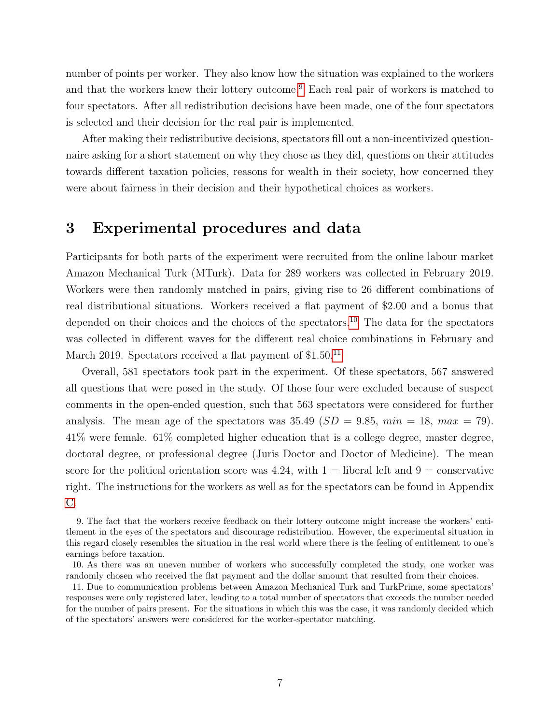number of points per worker. They also know how the situation was explained to the workers and that the workers knew their lottery outcome.<sup>[9](#page-9-0)</sup> Each real pair of workers is matched to four spectators. After all redistribution decisions have been made, one of the four spectators is selected and their decision for the real pair is implemented.

After making their redistributive decisions, spectators fill out a non-incentivized questionnaire asking for a short statement on why they chose as they did, questions on their attitudes towards different taxation policies, reasons for wealth in their society, how concerned they were about fairness in their decision and their hypothetical choices as workers.

### 3 Experimental procedures and data

Participants for both parts of the experiment were recruited from the online labour market Amazon Mechanical Turk (MTurk). Data for 289 workers was collected in February 2019. Workers were then randomly matched in pairs, giving rise to 26 different combinations of real distributional situations. Workers received a flat payment of \$2.00 and a bonus that depended on their choices and the choices of the spectators.<sup>[10](#page-9-1)</sup> The data for the spectators was collected in different waves for the different real choice combinations in February and March 2019. Spectators received a flat payment of \$1.50.<sup>[11](#page-9-2)</sup>

Overall, 581 spectators took part in the experiment. Of these spectators, 567 answered all questions that were posed in the study. Of those four were excluded because of suspect comments in the open-ended question, such that 563 spectators were considered for further analysis. The mean age of the spectators was  $35.49$  ( $SD = 9.85$ ,  $min = 18$ ,  $max = 79$ ). 41% were female. 61% completed higher education that is a college degree, master degree, doctoral degree, or professional degree (Juris Doctor and Doctor of Medicine). The mean score for the political orientation score was  $4.24$ , with  $1 =$  liberal left and  $9 =$  conservative right. The instructions for the workers as well as for the spectators can be found in Appendix [C.](#page-24-0)

<span id="page-9-0"></span><sup>9.</sup> The fact that the workers receive feedback on their lottery outcome might increase the workers' entitlement in the eyes of the spectators and discourage redistribution. However, the experimental situation in this regard closely resembles the situation in the real world where there is the feeling of entitlement to one's earnings before taxation.

<span id="page-9-1"></span><sup>10.</sup> As there was an uneven number of workers who successfully completed the study, one worker was randomly chosen who received the flat payment and the dollar amount that resulted from their choices.

<span id="page-9-2"></span><sup>11.</sup> Due to communication problems between Amazon Mechanical Turk and TurkPrime, some spectators' responses were only registered later, leading to a total number of spectators that exceeds the number needed for the number of pairs present. For the situations in which this was the case, it was randomly decided which of the spectators' answers were considered for the worker-spectator matching.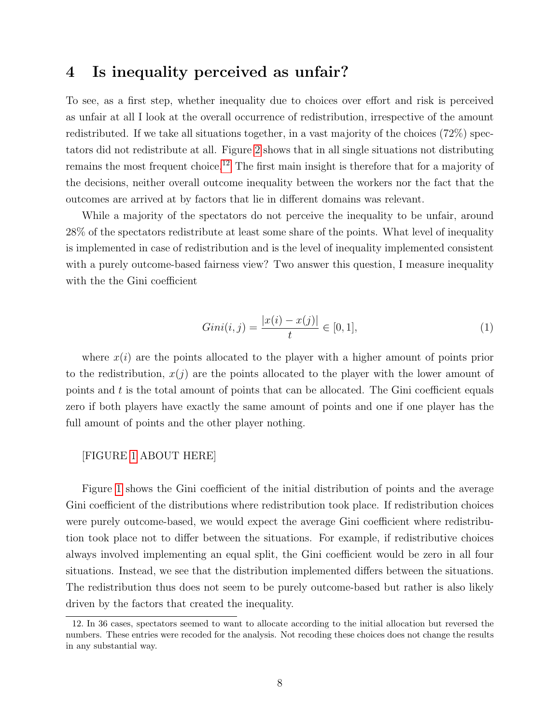### 4 Is inequality perceived as unfair?

To see, as a first step, whether inequality due to choices over effort and risk is perceived as unfair at all I look at the overall occurrence of redistribution, irrespective of the amount redistributed. If we take all situations together, in a vast majority of the choices (72%) spectators did not redistribute at all. Figure [2](#page-16-0) shows that in all single situations not distributing remains the most frequent choice.<sup>[12](#page-10-0)</sup> The first main insight is therefore that for a majority of the decisions, neither overall outcome inequality between the workers nor the fact that the outcomes are arrived at by factors that lie in different domains was relevant.

While a majority of the spectators do not perceive the inequality to be unfair, around 28% of the spectators redistribute at least some share of the points. What level of inequality is implemented in case of redistribution and is the level of inequality implemented consistent with a purely outcome-based fairness view? Two answer this question, I measure inequality with the the Gini coefficient

$$
Gini(i,j) = \frac{|x(i) - x(j)|}{t} \in [0,1],\tag{1}
$$

where  $x(i)$  are the points allocated to the player with a higher amount of points prior to the redistribution,  $x(j)$  are the points allocated to the player with the lower amount of points and t is the total amount of points that can be allocated. The Gini coefficient equals zero if both players have exactly the same amount of points and one if one player has the full amount of points and the other player nothing.

#### [FIGURE [1](#page-16-1) ABOUT HERE]

Figure [1](#page-16-1) shows the Gini coefficient of the initial distribution of points and the average Gini coefficient of the distributions where redistribution took place. If redistribution choices were purely outcome-based, we would expect the average Gini coefficient where redistribution took place not to differ between the situations. For example, if redistributive choices always involved implementing an equal split, the Gini coefficient would be zero in all four situations. Instead, we see that the distribution implemented differs between the situations. The redistribution thus does not seem to be purely outcome-based but rather is also likely driven by the factors that created the inequality.

<span id="page-10-0"></span><sup>12.</sup> In 36 cases, spectators seemed to want to allocate according to the initial allocation but reversed the numbers. These entries were recoded for the analysis. Not recoding these choices does not change the results in any substantial way.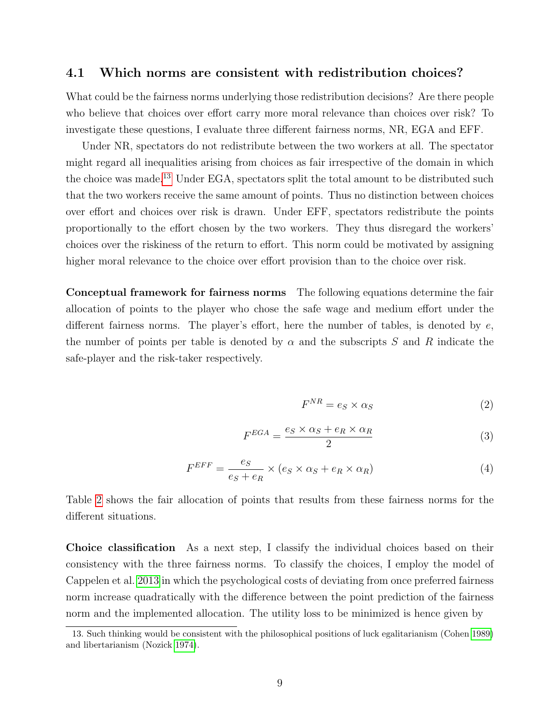#### 4.1 Which norms are consistent with redistribution choices?

What could be the fairness norms underlying those redistribution decisions? Are there people who believe that choices over effort carry more moral relevance than choices over risk? To investigate these questions, I evaluate three different fairness norms, NR, EGA and EFF.

Under NR, spectators do not redistribute between the two workers at all. The spectator might regard all inequalities arising from choices as fair irrespective of the domain in which the choice was made.[13](#page-11-0) Under EGA, spectators split the total amount to be distributed such that the two workers receive the same amount of points. Thus no distinction between choices over effort and choices over risk is drawn. Under EFF, spectators redistribute the points proportionally to the effort chosen by the two workers. They thus disregard the workers' choices over the riskiness of the return to effort. This norm could be motivated by assigning higher moral relevance to the choice over effort provision than to the choice over risk.

Conceptual framework for fairness norms The following equations determine the fair allocation of points to the player who chose the safe wage and medium effort under the different fairness norms. The player's effort, here the number of tables, is denoted by  $e$ , the number of points per table is denoted by  $\alpha$  and the subscripts S and R indicate the safe-player and the risk-taker respectively.

$$
F^{NR} = e_S \times \alpha_S \tag{2}
$$

$$
F^{EGA} = \frac{e_S \times \alpha_S + e_R \times \alpha_R}{2} \tag{3}
$$

$$
F^{EFF} = \frac{e_S}{e_S + e_R} \times (e_S \times \alpha_S + e_R \times \alpha_R)
$$
\n(4)

Table [2](#page-12-0) shows the fair allocation of points that results from these fairness norms for the different situations.

Choice classification As a next step, I classify the individual choices based on their consistency with the three fairness norms. To classify the choices, I employ the model of Cappelen et al. [2013](#page-19-4) in which the psychological costs of deviating from once preferred fairness norm increase quadratically with the difference between the point prediction of the fairness norm and the implemented allocation. The utility loss to be minimized is hence given by

<span id="page-11-0"></span><sup>13.</sup> Such thinking would be consistent with the philosophical positions of luck egalitarianism (Cohen [1989\)](#page-20-1) and libertarianism (Nozick [1974\)](#page-20-14).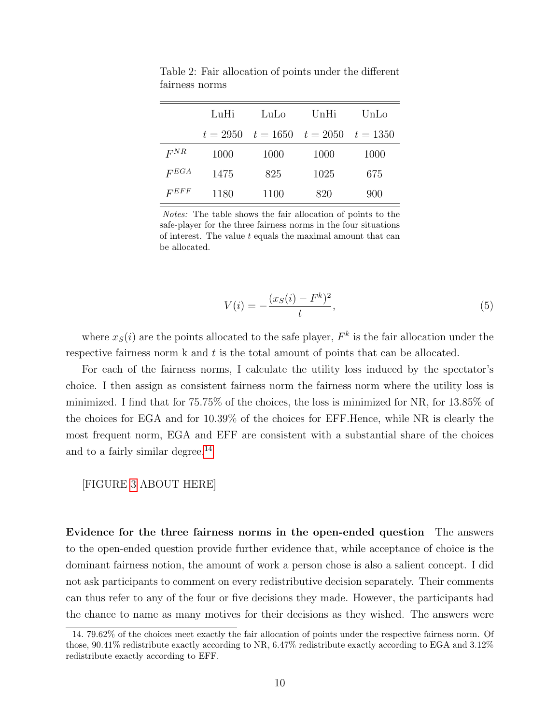|           | LuHi       | LuLo       | UnHi       | UnLo       |
|-----------|------------|------------|------------|------------|
|           | $t = 2950$ | $t = 1650$ | $t = 2050$ | $t = 1350$ |
| $F^{NR}$  | 1000       | 1000       | 1000       | 1000       |
| $F_{EGA}$ | 1475       | 825        | 1025       | 675        |
| $F^{EFF}$ | 1180       | 1100       | 820        | 900        |

<span id="page-12-0"></span>Table 2: Fair allocation of points under the different fairness norms

Notes: The table shows the fair allocation of points to the safe-player for the three fairness norms in the four situations of interest. The value  $t$  equals the maximal amount that can be allocated.

$$
V(i) = -\frac{(x_S(i) - F^k)^2}{t},\tag{5}
$$

where  $x<sub>S</sub>(i)$  are the points allocated to the safe player,  $F<sup>k</sup>$  is the fair allocation under the respective fairness norm k and t is the total amount of points that can be allocated.

For each of the fairness norms, I calculate the utility loss induced by the spectator's choice. I then assign as consistent fairness norm the fairness norm where the utility loss is minimized. I find that for 75.75% of the choices, the loss is minimized for NR, for 13.85% of the choices for EGA and for 10.39% of the choices for EFF.Hence, while NR is clearly the most frequent norm, EGA and EFF are consistent with a substantial share of the choices and to a fairly similar degree.<sup>[14](#page-12-1)</sup>

#### [FIGURE [3](#page-17-0) ABOUT HERE]

Evidence for the three fairness norms in the open-ended question The answers to the open-ended question provide further evidence that, while acceptance of choice is the dominant fairness notion, the amount of work a person chose is also a salient concept. I did not ask participants to comment on every redistributive decision separately. Their comments can thus refer to any of the four or five decisions they made. However, the participants had the chance to name as many motives for their decisions as they wished. The answers were

<span id="page-12-1"></span><sup>14. 79.62%</sup> of the choices meet exactly the fair allocation of points under the respective fairness norm. Of those, 90.41% redistribute exactly according to NR, 6.47% redistribute exactly according to EGA and 3.12% redistribute exactly according to EFF.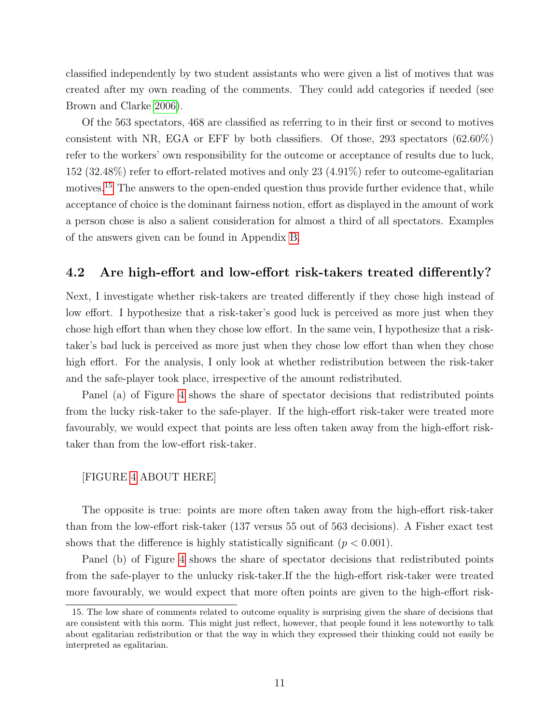classified independently by two student assistants who were given a list of motives that was created after my own reading of the comments. They could add categories if needed (see Brown and Clarke [2006\)](#page-19-9).

Of the 563 spectators, 468 are classified as referring to in their first or second to motives consistent with NR, EGA or EFF by both classifiers. Of those, 293 spectators  $(62.60\%)$ refer to the workers' own responsibility for the outcome or acceptance of results due to luck, 152 (32.48%) refer to effort-related motives and only 23 (4.91%) refer to outcome-egalitarian motives.<sup>[15](#page-13-0)</sup> The answers to the open-ended question thus provide further evidence that, while acceptance of choice is the dominant fairness notion, effort as displayed in the amount of work a person chose is also a salient consideration for almost a third of all spectators. Examples of the answers given can be found in Appendix [B.](#page-23-0)

#### 4.2 Are high-effort and low-effort risk-takers treated differently?

Next, I investigate whether risk-takers are treated differently if they chose high instead of low effort. I hypothesize that a risk-taker's good luck is perceived as more just when they chose high effort than when they chose low effort. In the same vein, I hypothesize that a risktaker's bad luck is perceived as more just when they chose low effort than when they chose high effort. For the analysis, I only look at whether redistribution between the risk-taker and the safe-player took place, irrespective of the amount redistributed.

Panel (a) of Figure [4](#page-18-0) shows the share of spectator decisions that redistributed points from the lucky risk-taker to the safe-player. If the high-effort risk-taker were treated more favourably, we would expect that points are less often taken away from the high-effort risktaker than from the low-effort risk-taker.

#### [FIGURE [4](#page-18-0) ABOUT HERE]

The opposite is true: points are more often taken away from the high-effort risk-taker than from the low-effort risk-taker (137 versus 55 out of 563 decisions). A Fisher exact test shows that the difference is highly statistically significant ( $p < 0.001$ ).

Panel (b) of Figure [4](#page-18-0) shows the share of spectator decisions that redistributed points from the safe-player to the unlucky risk-taker.If the the high-effort risk-taker were treated more favourably, we would expect that more often points are given to the high-effort risk-

<span id="page-13-0"></span><sup>15.</sup> The low share of comments related to outcome equality is surprising given the share of decisions that are consistent with this norm. This might just reflect, however, that people found it less noteworthy to talk about egalitarian redistribution or that the way in which they expressed their thinking could not easily be interpreted as egalitarian.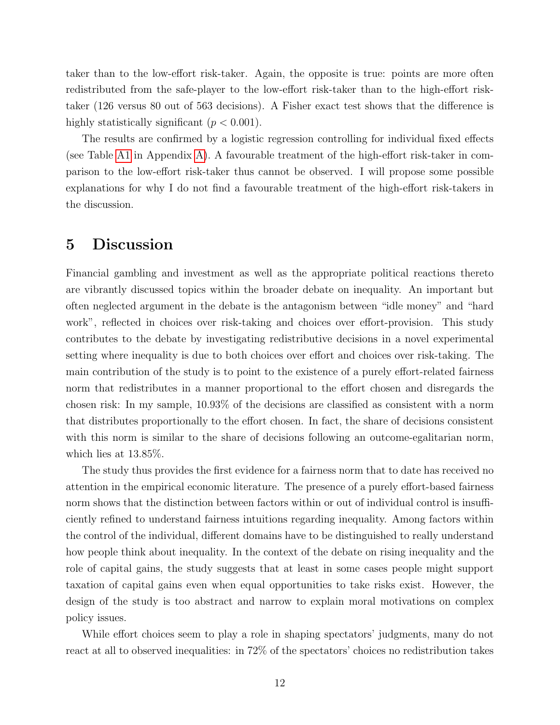taker than to the low-effort risk-taker. Again, the opposite is true: points are more often redistributed from the safe-player to the low-effort risk-taker than to the high-effort risktaker (126 versus 80 out of 563 decisions). A Fisher exact test shows that the difference is highly statistically significant  $(p < 0.001)$ .

The results are confirmed by a logistic regression controlling for individual fixed effects (see Table [A1](#page-22-0) in Appendix [A\)](#page-22-1). A favourable treatment of the high-effort risk-taker in comparison to the low-effort risk-taker thus cannot be observed. I will propose some possible explanations for why I do not find a favourable treatment of the high-effort risk-takers in the discussion.

### 5 Discussion

Financial gambling and investment as well as the appropriate political reactions thereto are vibrantly discussed topics within the broader debate on inequality. An important but often neglected argument in the debate is the antagonism between "idle money" and "hard work", reflected in choices over risk-taking and choices over effort-provision. This study contributes to the debate by investigating redistributive decisions in a novel experimental setting where inequality is due to both choices over effort and choices over risk-taking. The main contribution of the study is to point to the existence of a purely effort-related fairness norm that redistributes in a manner proportional to the effort chosen and disregards the chosen risk: In my sample, 10.93% of the decisions are classified as consistent with a norm that distributes proportionally to the effort chosen. In fact, the share of decisions consistent with this norm is similar to the share of decisions following an outcome-egalitarian norm, which lies at 13.85%.

The study thus provides the first evidence for a fairness norm that to date has received no attention in the empirical economic literature. The presence of a purely effort-based fairness norm shows that the distinction between factors within or out of individual control is insufficiently refined to understand fairness intuitions regarding inequality. Among factors within the control of the individual, different domains have to be distinguished to really understand how people think about inequality. In the context of the debate on rising inequality and the role of capital gains, the study suggests that at least in some cases people might support taxation of capital gains even when equal opportunities to take risks exist. However, the design of the study is too abstract and narrow to explain moral motivations on complex policy issues.

While effort choices seem to play a role in shaping spectators' judgments, many do not react at all to observed inequalities: in 72% of the spectators' choices no redistribution takes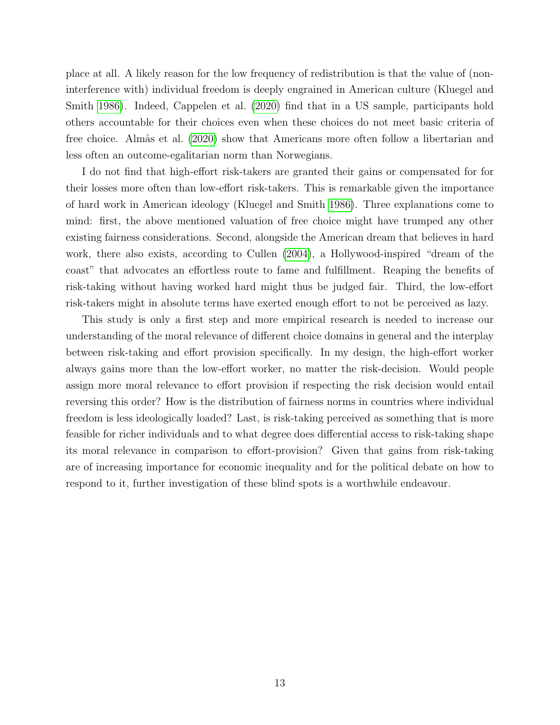place at all. A likely reason for the low frequency of redistribution is that the value of (noninterference with) individual freedom is deeply engrained in American culture (Kluegel and Smith [1986\)](#page-20-8). Indeed, Cappelen et al. [\(2020\)](#page-19-10) find that in a US sample, participants hold others accountable for their choices even when these choices do not meet basic criteria of free choice. Almås et al. [\(2020\)](#page-19-11) show that Americans more often follow a libertarian and less often an outcome-egalitarian norm than Norwegians.

I do not find that high-effort risk-takers are granted their gains or compensated for for their losses more often than low-effort risk-takers. This is remarkable given the importance of hard work in American ideology (Kluegel and Smith [1986\)](#page-20-8). Three explanations come to mind: first, the above mentioned valuation of free choice might have trumped any other existing fairness considerations. Second, alongside the American dream that believes in hard work, there also exists, according to Cullen [\(2004\)](#page-20-15), a Hollywood-inspired "dream of the coast" that advocates an effortless route to fame and fulfillment. Reaping the benefits of risk-taking without having worked hard might thus be judged fair. Third, the low-effort risk-takers might in absolute terms have exerted enough effort to not be perceived as lazy.

This study is only a first step and more empirical research is needed to increase our understanding of the moral relevance of different choice domains in general and the interplay between risk-taking and effort provision specifically. In my design, the high-effort worker always gains more than the low-effort worker, no matter the risk-decision. Would people assign more moral relevance to effort provision if respecting the risk decision would entail reversing this order? How is the distribution of fairness norms in countries where individual freedom is less ideologically loaded? Last, is risk-taking perceived as something that is more feasible for richer individuals and to what degree does differential access to risk-taking shape its moral relevance in comparison to effort-provision? Given that gains from risk-taking are of increasing importance for economic inequality and for the political debate on how to respond to it, further investigation of these blind spots is a worthwhile endeavour.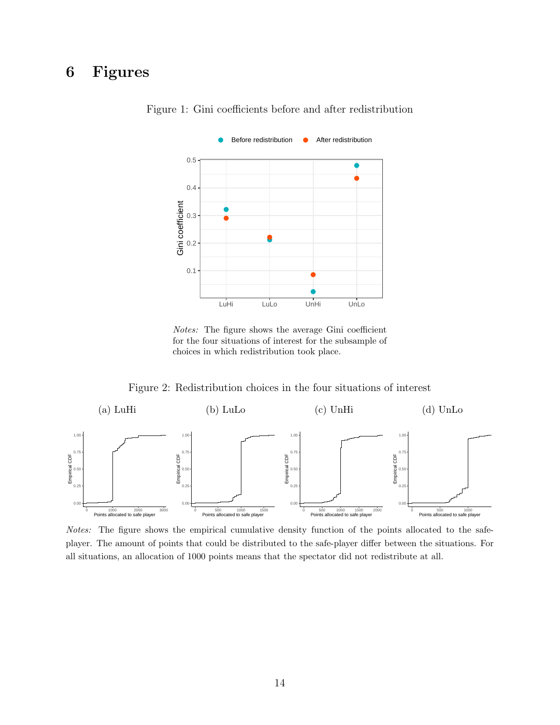# <span id="page-16-1"></span>6 Figures



Figure 1: Gini coefficients before and after redistribution

Notes: The figure shows the average Gini coefficient for the four situations of interest for the subsample of choices in which redistribution took place.

Figure 2: Redistribution choices in the four situations of interest

<span id="page-16-0"></span>

Notes: The figure shows the empirical cumulative density function of the points allocated to the safeplayer. The amount of points that could be distributed to the safe-player differ between the situations. For all situations, an allocation of 1000 points means that the spectator did not redistribute at all.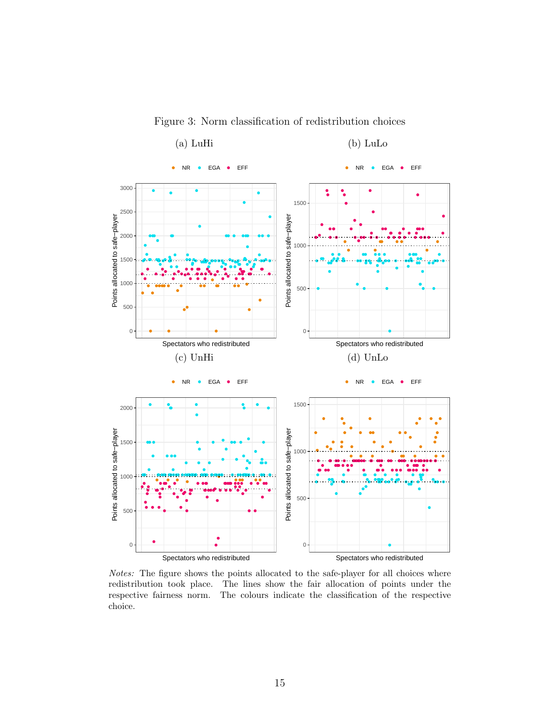<span id="page-17-0"></span>

Figure 3: Norm classification of redistribution choices

Notes: The figure shows the points allocated to the safe-player for all choices where redistribution took place. The lines show the fair allocation of points under the respective fairness norm. The colours indicate the classification of the respective choice.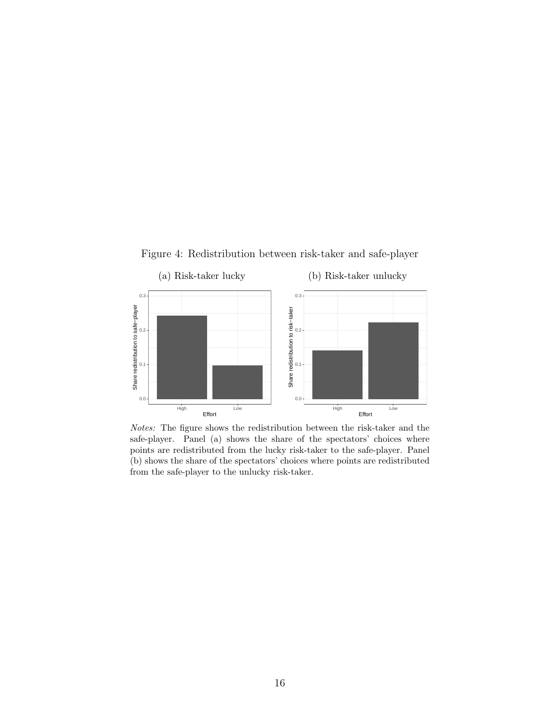Figure 4: Redistribution between risk-taker and safe-player

<span id="page-18-0"></span>

Notes: The figure shows the redistribution between the risk-taker and the safe-player. Panel (a) shows the share of the spectators' choices where points are redistributed from the lucky risk-taker to the safe-player. Panel (b) shows the share of the spectators' choices where points are redistributed from the safe-player to the unlucky risk-taker.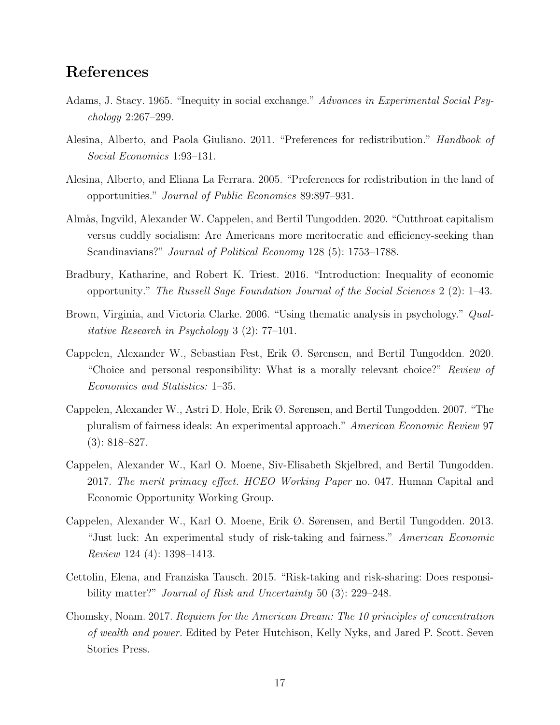### References

- <span id="page-19-7"></span>Adams, J. Stacy. 1965. "Inequity in social exchange." Advances in Experimental Social Psychology 2:267–299.
- <span id="page-19-0"></span>Alesina, Alberto, and Paola Giuliano. 2011. "Preferences for redistribution." Handbook of Social Economics 1:93–131.
- <span id="page-19-2"></span>Alesina, Alberto, and Eliana La Ferrara. 2005. "Preferences for redistribution in the land of opportunities." Journal of Public Economics 89:897–931.
- <span id="page-19-11"></span>Almås, Ingvild, Alexander W. Cappelen, and Bertil Tungodden. 2020. "Cutthroat capitalism versus cuddly socialism: Are Americans more meritocratic and efficiency-seeking than Scandinavians?" *Journal of Political Economy* 128 (5): 1753–1788.
- <span id="page-19-8"></span>Bradbury, Katharine, and Robert K. Triest. 2016. "Introduction: Inequality of economic opportunity." The Russell Sage Foundation Journal of the Social Sciences 2 (2): 1–43.
- <span id="page-19-9"></span>Brown, Virginia, and Victoria Clarke. 2006. "Using thematic analysis in psychology." Qualitative Research in Psychology 3 (2): 77–101.
- <span id="page-19-10"></span>Cappelen, Alexander W., Sebastian Fest, Erik Ø. Sørensen, and Bertil Tungodden. 2020. "Choice and personal responsibility: What is a morally relevant choice?" Review of Economics and Statistics: 1–35.
- <span id="page-19-3"></span>Cappelen, Alexander W., Astri D. Hole, Erik Ø. Sørensen, and Bertil Tungodden. 2007. "The pluralism of fairness ideals: An experimental approach." American Economic Review 97 (3): 818–827.
- <span id="page-19-6"></span>Cappelen, Alexander W., Karl O. Moene, Siv-Elisabeth Skjelbred, and Bertil Tungodden. 2017. The merit primacy effect. HCEO Working Paper no. 047. Human Capital and Economic Opportunity Working Group.
- <span id="page-19-4"></span>Cappelen, Alexander W., Karl O. Moene, Erik Ø. Sørensen, and Bertil Tungodden. 2013. "Just luck: An experimental study of risk-taking and fairness." American Economic Review 124 (4): 1398–1413.
- <span id="page-19-5"></span>Cettolin, Elena, and Franziska Tausch. 2015. "Risk-taking and risk-sharing: Does responsibility matter?" *Journal of Risk and Uncertainty* 50 (3): 229–248.
- <span id="page-19-1"></span>Chomsky, Noam. 2017. Requiem for the American Dream: The 10 principles of concentration of wealth and power. Edited by Peter Hutchison, Kelly Nyks, and Jared P. Scott. Seven Stories Press.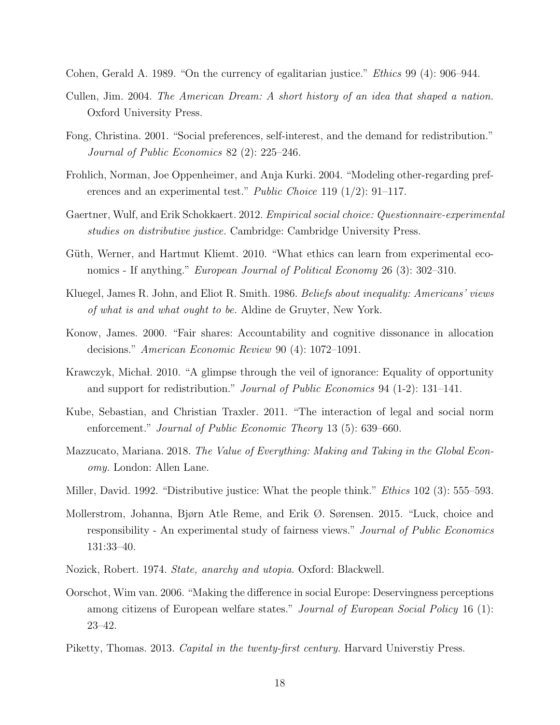<span id="page-20-1"></span>Cohen, Gerald A. 1989. "On the currency of egalitarian justice." Ethics 99 (4): 906–944.

- <span id="page-20-15"></span>Cullen, Jim. 2004. The American Dream: A short history of an idea that shaped a nation. Oxford University Press.
- <span id="page-20-3"></span>Fong, Christina. 2001. "Social preferences, self-interest, and the demand for redistribution." Journal of Public Economics 82 (2): 225–246.
- <span id="page-20-7"></span>Frohlich, Norman, Joe Oppenheimer, and Anja Kurki. 2004. "Modeling other-regarding preferences and an experimental test." Public Choice 119 (1/2): 91–117.
- <span id="page-20-12"></span>Gaertner, Wulf, and Erik Schokkaert. 2012. *Empirical social choice: Questionnaire-experimental* studies on distributive justice. Cambridge: Cambridge University Press.
- <span id="page-20-11"></span>Güth, Werner, and Hartmut Kliemt. 2010. "What ethics can learn from experimental economics - If anything." European Journal of Political Economy 26 (3): 302–310.
- <span id="page-20-8"></span>Kluegel, James R. John, and Eliot R. Smith. 1986. Beliefs about inequality: Americans' views of what is and what ought to be. Aldine de Gruyter, New York.
- <span id="page-20-5"></span>Konow, James. 2000. "Fair shares: Accountability and cognitive dissonance in allocation decisions." American Economic Review 90 (4): 1072–1091.
- <span id="page-20-6"></span>Krawczyk, Michał. 2010. "A glimpse through the veil of ignorance: Equality of opportunity and support for redistribution." Journal of Public Economics 94 (1-2): 131–141.
- <span id="page-20-13"></span>Kube, Sebastian, and Christian Traxler. 2011. "The interaction of legal and social norm enforcement." *Journal of Public Economic Theory* 13 (5): 639–660.
- <span id="page-20-2"></span>Mazzucato, Mariana. 2018. The Value of Everything: Making and Taking in the Global Economy. London: Allen Lane.
- <span id="page-20-10"></span>Miller, David. 1992. "Distributive justice: What the people think." *Ethics* 102 (3): 555–593.
- <span id="page-20-9"></span>Mollerstrom, Johanna, Bjørn Atle Reme, and Erik Ø. Sørensen. 2015. "Luck, choice and responsibility - An experimental study of fairness views." Journal of Public Economics 131:33–40.
- <span id="page-20-14"></span>Nozick, Robert. 1974. State, anarchy and utopia. Oxford: Blackwell.
- <span id="page-20-4"></span>Oorschot, Wim van. 2006. "Making the difference in social Europe: Deservingness perceptions among citizens of European welfare states." Journal of European Social Policy 16 (1): 23–42.
- <span id="page-20-0"></span>Piketty, Thomas. 2013. Capital in the twenty-first century. Harvard University Press.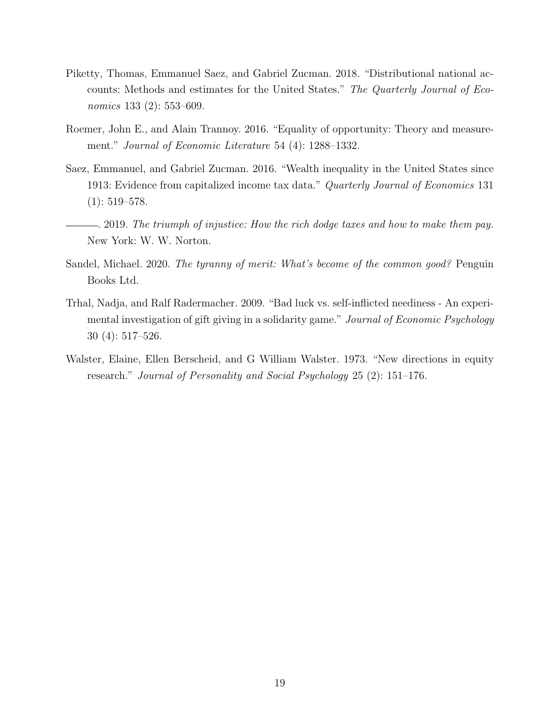- <span id="page-21-1"></span>Piketty, Thomas, Emmanuel Saez, and Gabriel Zucman. 2018. "Distributional national accounts: Methods and estimates for the United States." The Quarterly Journal of Economics 133 (2): 553–609.
- <span id="page-21-3"></span>Roemer, John E., and Alain Trannoy. 2016. "Equality of opportunity: Theory and measurement." Journal of Economic Literature 54 (4): 1288–1332.
- <span id="page-21-0"></span>Saez, Emmanuel, and Gabriel Zucman. 2016. "Wealth inequality in the United States since 1913: Evidence from capitalized income tax data." Quarterly Journal of Economics 131  $(1): 519 - 578.$
- <span id="page-21-2"></span>. 2019. The triumph of injustice: How the rich dodge taxes and how to make them pay. New York: W. W. Norton.
- <span id="page-21-4"></span>Sandel, Michael. 2020. The tyranny of merit: What's become of the common good? Penguin Books Ltd.
- <span id="page-21-5"></span>Trhal, Nadja, and Ralf Radermacher. 2009. "Bad luck vs. self-inflicted neediness - An experimental investigation of gift giving in a solidarity game." Journal of Economic Psychology 30 (4): 517–526.
- <span id="page-21-6"></span>Walster, Elaine, Ellen Berscheid, and G William Walster. 1973. "New directions in equity research." Journal of Personality and Social Psychology 25 (2): 151–176.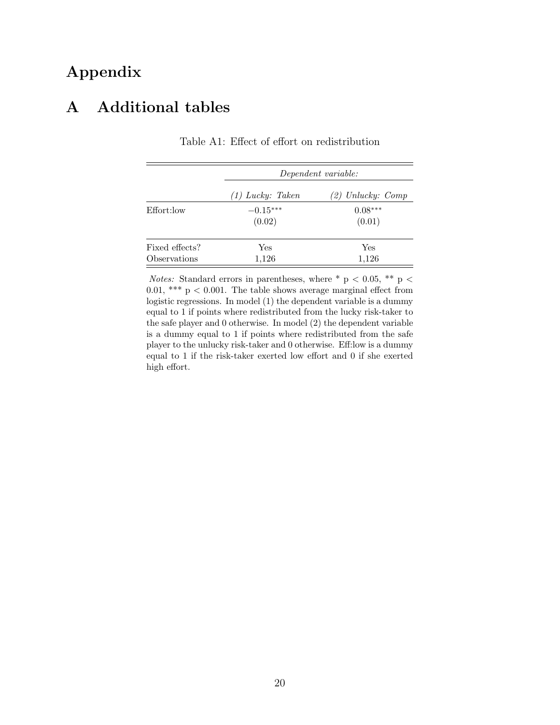## Appendix

### <span id="page-22-1"></span><span id="page-22-0"></span>A Additional tables

|                |                    | Dependent variable: |
|----------------|--------------------|---------------------|
|                | $(1)$ Lucky: Taken | (2) Unlucky: Comp   |
| Effort:low     | $-0.15***$         | $0.08***$           |
|                | (0.02)             | (0.01)              |
| Fixed effects? | Yes                | Yes                 |
| Observations   | 1,126              | 1,126               |

Table A1: Effect of effort on redistribution

*Notes:* Standard errors in parentheses, where \* p < 0.05, \*\* p < 0.01, \*\*\*  $p < 0.001$ . The table shows average marginal effect from logistic regressions. In model (1) the dependent variable is a dummy equal to 1 if points where redistributed from the lucky risk-taker to the safe player and 0 otherwise. In model (2) the dependent variable is a dummy equal to 1 if points where redistributed from the safe player to the unlucky risk-taker and 0 otherwise. Eff:low is a dummy equal to 1 if the risk-taker exerted low effort and 0 if she exerted high effort.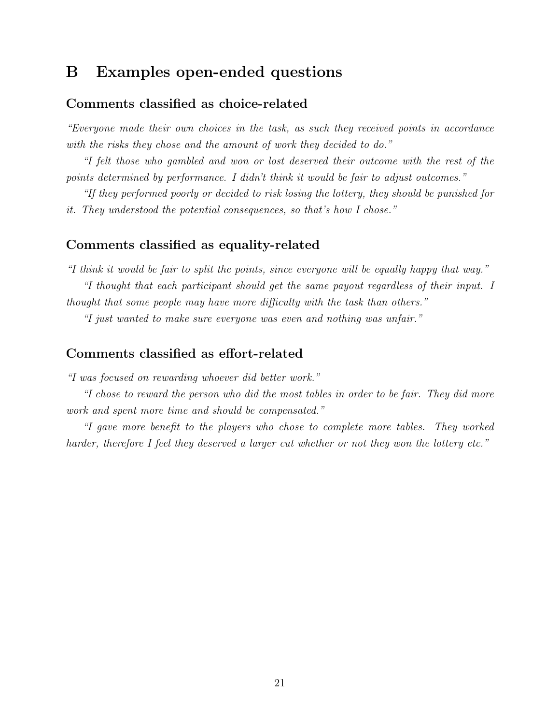### <span id="page-23-0"></span>B Examples open-ended questions

#### Comments classified as choice-related

"Everyone made their own choices in the task, as such they received points in accordance with the risks they chose and the amount of work they decided to do."

"I felt those who gambled and won or lost deserved their outcome with the rest of the points determined by performance. I didn't think it would be fair to adjust outcomes."

"If they performed poorly or decided to risk losing the lottery, they should be punished for it. They understood the potential consequences, so that's how I chose."

#### Comments classified as equality-related

"I think it would be fair to split the points, since everyone will be equally happy that way." "I thought that each participant should get the same payout regardless of their input. I thought that some people may have more difficulty with the task than others."

"I just wanted to make sure everyone was even and nothing was unfair."

#### Comments classified as effort-related

"I was focused on rewarding whoever did better work."

"I chose to reward the person who did the most tables in order to be fair. They did more work and spent more time and should be compensated."

"I gave more benefit to the players who chose to complete more tables. They worked harder, therefore I feel they deserved a larger cut whether or not they won the lottery etc."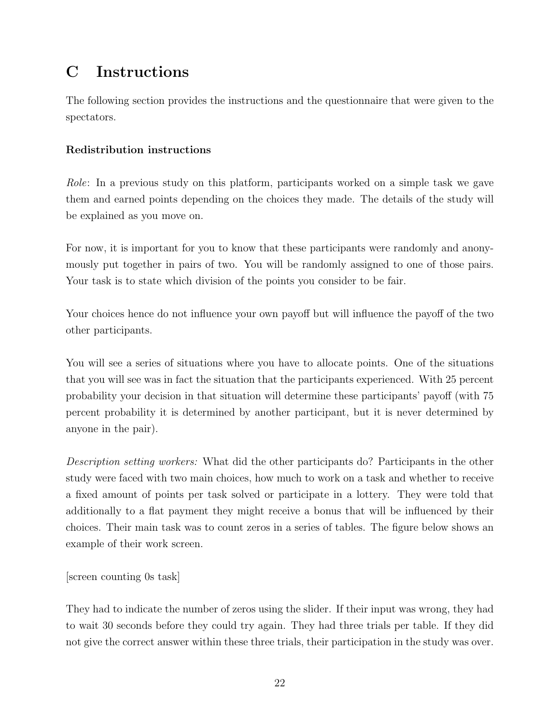# <span id="page-24-0"></span>C Instructions

The following section provides the instructions and the questionnaire that were given to the spectators.

### Redistribution instructions

Role: In a previous study on this platform, participants worked on a simple task we gave them and earned points depending on the choices they made. The details of the study will be explained as you move on.

For now, it is important for you to know that these participants were randomly and anonymously put together in pairs of two. You will be randomly assigned to one of those pairs. Your task is to state which division of the points you consider to be fair.

Your choices hence do not influence your own payoff but will influence the payoff of the two other participants.

You will see a series of situations where you have to allocate points. One of the situations that you will see was in fact the situation that the participants experienced. With 25 percent probability your decision in that situation will determine these participants' payoff (with 75 percent probability it is determined by another participant, but it is never determined by anyone in the pair).

Description setting workers: What did the other participants do? Participants in the other study were faced with two main choices, how much to work on a task and whether to receive a fixed amount of points per task solved or participate in a lottery. They were told that additionally to a flat payment they might receive a bonus that will be influenced by their choices. Their main task was to count zeros in a series of tables. The figure below shows an example of their work screen.

#### [screen counting 0s task]

They had to indicate the number of zeros using the slider. If their input was wrong, they had to wait 30 seconds before they could try again. They had three trials per table. If they did not give the correct answer within these three trials, their participation in the study was over.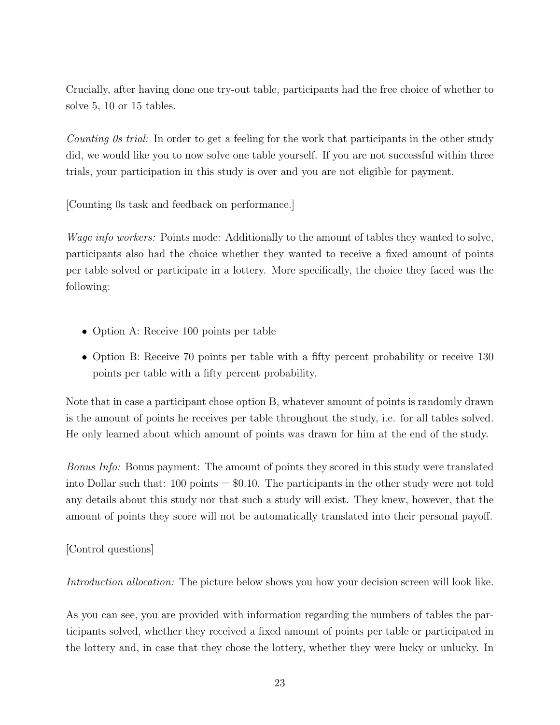Crucially, after having done one try-out table, participants had the free choice of whether to solve 5, 10 or 15 tables.

Counting 0s trial: In order to get a feeling for the work that participants in the other study did, we would like you to now solve one table yourself. If you are not successful within three trials, your participation in this study is over and you are not eligible for payment.

[Counting 0s task and feedback on performance.]

Wage info workers: Points mode: Additionally to the amount of tables they wanted to solve, participants also had the choice whether they wanted to receive a fixed amount of points per table solved or participate in a lottery. More specifically, the choice they faced was the following:

- Option A: Receive 100 points per table
- Option B: Receive 70 points per table with a fifty percent probability or receive 130 points per table with a fifty percent probability.

Note that in case a participant chose option B, whatever amount of points is randomly drawn is the amount of points he receives per table throughout the study, i.e. for all tables solved. He only learned about which amount of points was drawn for him at the end of the study.

Bonus Info: Bonus payment: The amount of points they scored in this study were translated into Dollar such that:  $100 \text{ points} = $0.10$ . The participants in the other study were not told any details about this study nor that such a study will exist. They knew, however, that the amount of points they score will not be automatically translated into their personal payoff.

#### [Control questions]

Introduction allocation: The picture below shows you how your decision screen will look like.

As you can see, you are provided with information regarding the numbers of tables the participants solved, whether they received a fixed amount of points per table or participated in the lottery and, in case that they chose the lottery, whether they were lucky or unlucky. In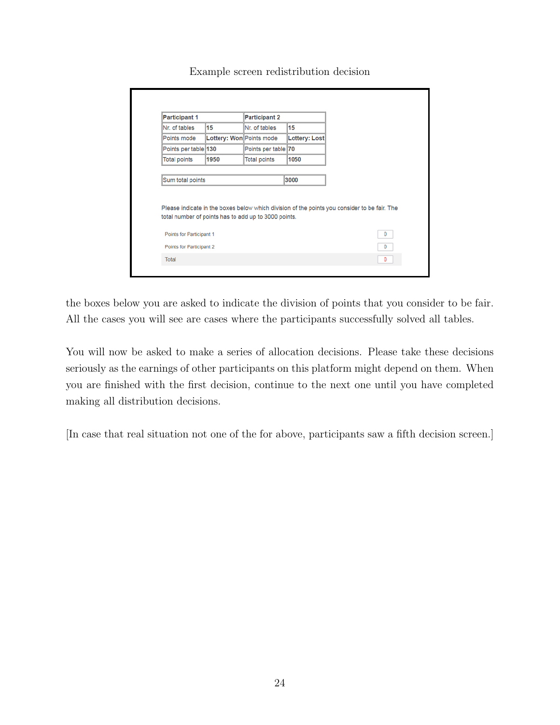| <b>Participant 1</b>                                                                                                                                                     |                          | <b>Participant 2</b> |               |   |
|--------------------------------------------------------------------------------------------------------------------------------------------------------------------------|--------------------------|----------------------|---------------|---|
| Nr. of tables                                                                                                                                                            | 15                       | Nr. of tables        | 15            |   |
| Points mode                                                                                                                                                              | Lottery: Won Points mode |                      | Lottery: Lost |   |
| Points per table 130                                                                                                                                                     |                          | Points per table 70  |               |   |
| Total points                                                                                                                                                             | 1950                     | <b>Total points</b>  | 1050          |   |
|                                                                                                                                                                          |                          |                      | 3000          |   |
| Sum total points<br>Please indicate in the boxes below which division of the points you consider to be fair. The<br>total number of points has to add up to 3000 points. |                          |                      |               |   |
| Points for Participant 1                                                                                                                                                 |                          |                      |               | 0 |
| Points for Participant 2                                                                                                                                                 |                          |                      |               | 0 |

Example screen redistribution decision

the boxes below you are asked to indicate the division of points that you consider to be fair. All the cases you will see are cases where the participants successfully solved all tables.

You will now be asked to make a series of allocation decisions. Please take these decisions seriously as the earnings of other participants on this platform might depend on them. When you are finished with the first decision, continue to the next one until you have completed making all distribution decisions.

[In case that real situation not one of the for above, participants saw a fifth decision screen.]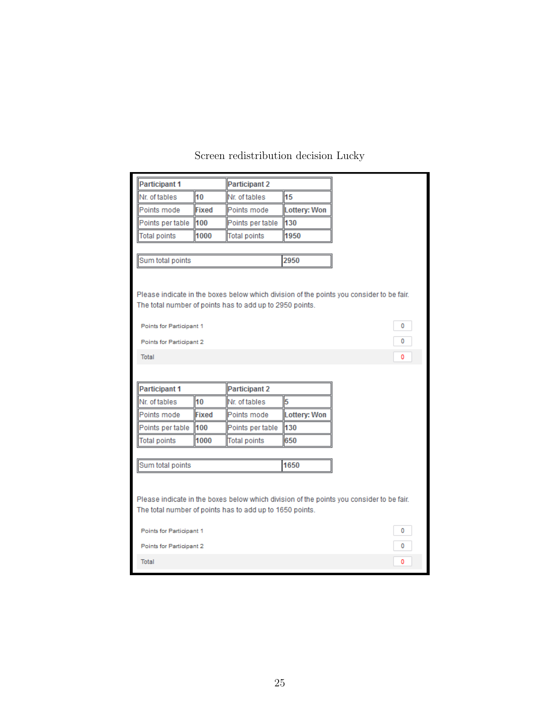| <b>Participant 1</b>                                                                                                      |              | <b>Participant 2</b> |                     |                                                                                                         |
|---------------------------------------------------------------------------------------------------------------------------|--------------|----------------------|---------------------|---------------------------------------------------------------------------------------------------------|
| Nr. of tables                                                                                                             | 10           | Nr. of tables        | 15                  |                                                                                                         |
| Points mode                                                                                                               | <b>Fixed</b> | Points mode          | Lottery: Won        |                                                                                                         |
| Points per table                                                                                                          | 100          | Points per table     | 130                 |                                                                                                         |
| <b>Total points</b>                                                                                                       | 1000         | <b>Total points</b>  | 1950                |                                                                                                         |
|                                                                                                                           |              |                      |                     |                                                                                                         |
| Sum total points                                                                                                          |              |                      | 2950                |                                                                                                         |
| The total number of points has to add up to 2950 points.<br>Points for Participant 1<br>Points for Participant 2<br>Total |              |                      |                     | Please indicate in the boxes below which division of the points you consider to be fair.<br>0<br>0<br>٥ |
| <b>Participant 1</b>                                                                                                      |              | <b>Participant 2</b> |                     |                                                                                                         |
| Nr. of tables                                                                                                             | 10           | Nr. of tables        | 5                   |                                                                                                         |
| Points mode                                                                                                               | <b>Fixed</b> | Points mode          | <b>Lottery: Won</b> |                                                                                                         |
| Points per table                                                                                                          | 100          | Points per table     | 130                 |                                                                                                         |
|                                                                                                                           |              |                      |                     |                                                                                                         |
| <b>Total points</b>                                                                                                       | 1000         | <b>Total points</b>  | 650                 |                                                                                                         |
| Sum total points                                                                                                          |              |                      | 1650                |                                                                                                         |
| The total number of points has to add up to 1650 points.                                                                  |              |                      |                     | Please indicate in the boxes below which division of the points you consider to be fair.                |
| Points for Participant 1                                                                                                  |              |                      |                     | 0                                                                                                       |
| Points for Participant 2                                                                                                  |              |                      |                     | ٥                                                                                                       |

### Screen redistribution decision Lucky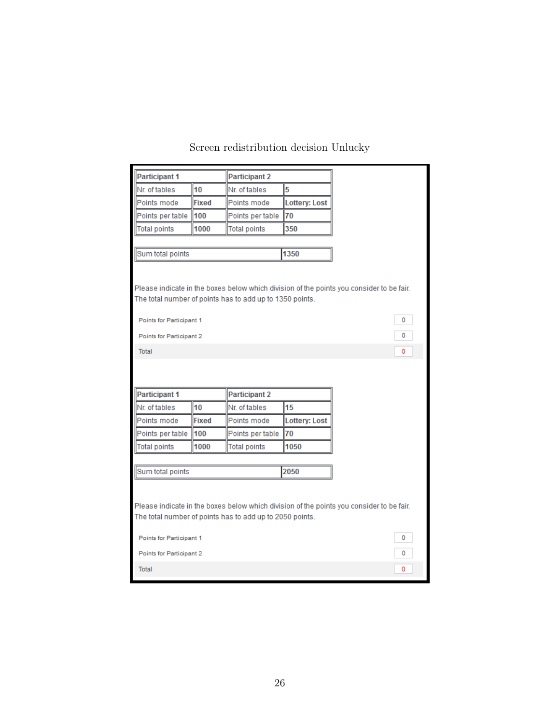| <b>Participant 1</b>                                                                                                                                 |              | <b>Participant 2</b> |                      |  |
|------------------------------------------------------------------------------------------------------------------------------------------------------|--------------|----------------------|----------------------|--|
| Nr. of tables                                                                                                                                        | 10           | Nr. of tables        | 5                    |  |
| Points mode                                                                                                                                          | <b>Fixed</b> | Points mode          | <b>Lottery: Lost</b> |  |
| Points per table                                                                                                                                     | 100          | Points per table     | 70                   |  |
| Total points                                                                                                                                         | 1000         | <b>Total points</b>  | 350                  |  |
|                                                                                                                                                      |              |                      |                      |  |
| Sum total points                                                                                                                                     |              |                      | 1350                 |  |
| Please indicate in the boxes below which division of the points you consider to be fair.<br>The total number of points has to add up to 1350 points. |              |                      |                      |  |
| Points for Participant 1                                                                                                                             |              |                      |                      |  |
| Points for Participant 2                                                                                                                             |              |                      |                      |  |
| Total                                                                                                                                                |              |                      |                      |  |
| <b>Participant 1</b><br><b>Participant 2</b>                                                                                                         |              |                      |                      |  |
| Nr. of tables                                                                                                                                        | 10           | Nr. of tables        | 15                   |  |
| Points mode                                                                                                                                          | <b>Fixed</b> | Points mode          | <b>Lottery: Lost</b> |  |
| Points per table                                                                                                                                     | 100          | Points per table     | 70                   |  |
| <b>Total points</b>                                                                                                                                  | 1000         | <b>Total points</b>  | 1050                 |  |
|                                                                                                                                                      |              |                      |                      |  |
| Sum total points                                                                                                                                     |              |                      | 2050                 |  |
| Please indicate in the boxes below which division of the points you consider to be fair.<br>The total number of points has to add up to 2050 points. |              |                      |                      |  |
| Points for Participant 1                                                                                                                             |              |                      |                      |  |
| Points for Participant 2                                                                                                                             |              |                      |                      |  |
| Total                                                                                                                                                |              |                      |                      |  |
|                                                                                                                                                      |              |                      |                      |  |

### Screen redistribution decision Unlucky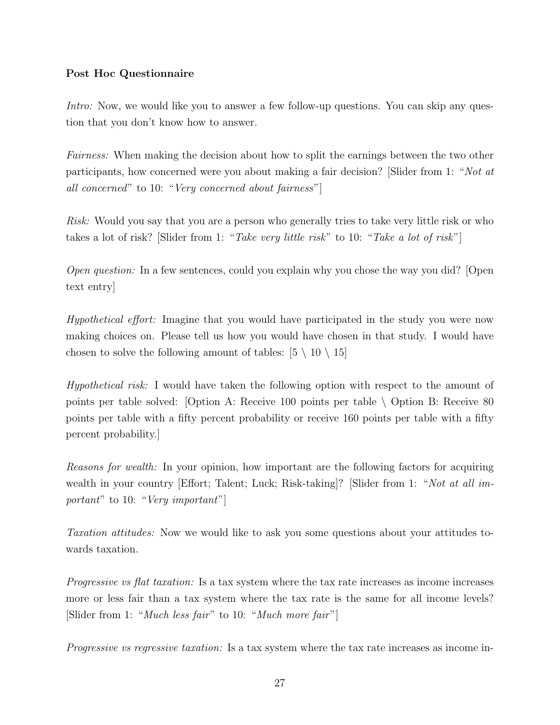#### Post Hoc Questionnaire

Intro: Now, we would like you to answer a few follow-up questions. You can skip any question that you don't know how to answer.

Fairness: When making the decision about how to split the earnings between the two other participants, how concerned were you about making a fair decision? [Slider from 1: "Not at all concerned" to 10: "Very concerned about fairness"]

Risk: Would you say that you are a person who generally tries to take very little risk or who takes a lot of risk? [Slider from 1: "Take very little risk" to 10: "Take a lot of risk"]

Open question: In a few sentences, could you explain why you chose the way you did? [Open text entry]

Hypothetical effort: Imagine that you would have participated in the study you were now making choices on. Please tell us how you would have chosen in that study. I would have chosen to solve the following amount of tables:  $[5 \setminus 10 \setminus 15]$ 

Hypothetical risk: I would have taken the following option with respect to the amount of points per table solved: [Option A: Receive 100 points per table \ Option B: Receive 80 points per table with a fifty percent probability or receive 160 points per table with a fifty percent probability.]

Reasons for wealth: In your opinion, how important are the following factors for acquiring wealth in your country [Effort; Talent; Luck; Risk-taking]? [Slider from 1: "Not at all important" to 10: "Very important"

Taxation attitudes: Now we would like to ask you some questions about your attitudes towards taxation.

Progressive vs flat taxation: Is a tax system where the tax rate increases as income increases more or less fair than a tax system where the tax rate is the same for all income levels? [Slider from 1: "Much less fair" to 10: "Much more fair"]

Progressive vs regressive taxation: Is a tax system where the tax rate increases as income in-